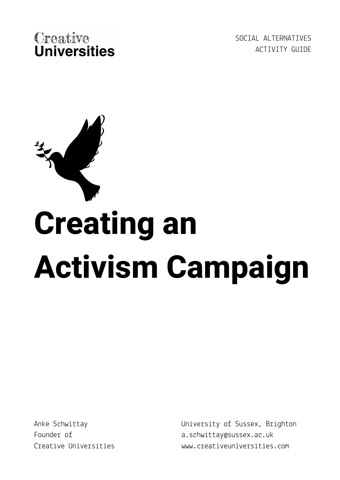

SOCIAL ALTERNATIVES ACTIVITY GUIDE



# **Creating an Activism Campaign**

Anke Schwittay Founder of Creative Universities University of Sussex, Brighton a.schwittay@sussex.ac.uk www.creativeuniversities.com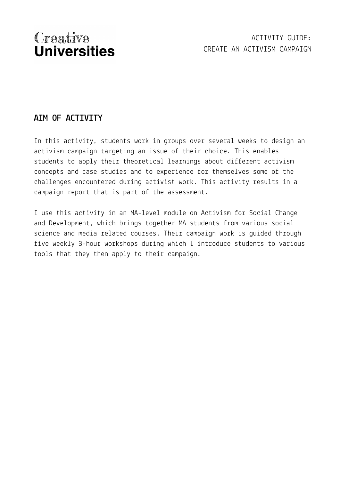## ACTIVITY GUIDE: CREATE AN ACTIVISM CAMPAIGN

## **AIM OF ACTIVITY**

In this activity, students work in groups over several weeks to design an activism campaign targeting an issue of their choice. This enables students to apply their theoretical learnings about different activism concepts and case studies and to experience for themselves some of the challenges encountered during activist work. This activity results in a campaign report that is part of the assessment.

I use this activity in an MA-level module on Activism for Social Change and Development, which brings together MA students from various social science and media related courses. Their campaign work is guided through five weekly 3-hour workshops during which I introduce students to various tools that they then apply to their campaign.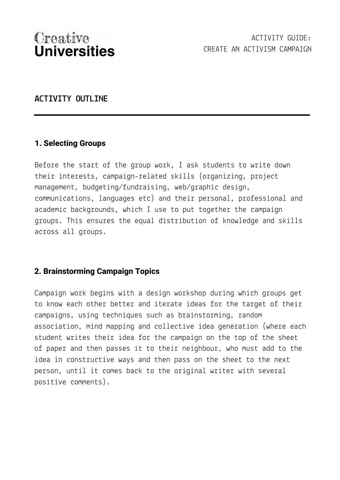**ACTIVITY OUTLINE**

#### **1. Selecting Groups**

Before the start of the group work, I ask students to write down their interests, campaign-related skills (organizing, project management, budgeting/fundraising, web/graphic design, communications, languages etc) and their personal, professional and academic backgrounds, which I use to put together the campaign groups. This ensures the equal distribution of knowledge and skills across all groups.

## **2. Brainstorming Campaign Topics**

Campaign work begins with a design workshop during which groups get to know each other better and iterate ideas for the target of their campaigns, using techniques such as brainstorming, random association, mind mapping and collective idea generation (where each student writes their idea for the campaign on the top of the sheet of paper and then passes it to their neighbour, who must add to the idea in constructive ways and then pass on the sheet to the next person, until it comes back to the original writer with several positive comments).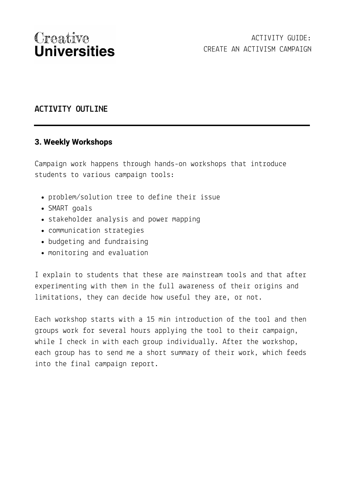## **ACTIVITY OUTLINE**

#### **3. Weekly Workshops**

Campaign work happens through hands-on workshops that introduce students to various campaign tools:

- problem/solution tree to define their issue
- SMART goals
- stakeholder analysis and power mapping
- communication strategies
- budgeting and fundraising
- monitoring and evaluation

I explain to students that these are mainstream tools and that after experimenting with them in the full awareness of their origins and limitations, they can decide how useful they are, or not.

Each workshop starts with a 15 min introduction of the tool and then groups work for several hours applying the tool to their campaign, while I check in with each group individually. After the workshop, each group has to send me a short summary of their work, which feeds into the final campaign report.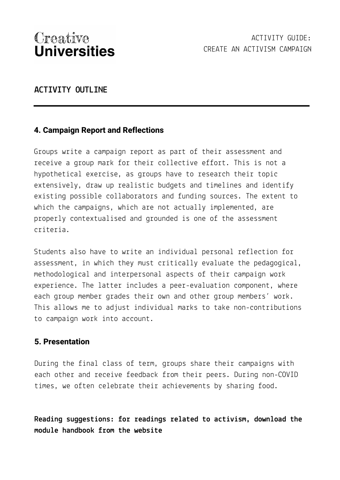## **ACTIVITY OUTLINE**

#### **4. Campaign Report and Reflections**

Groups write a campaign report as part of their assessment and receive a group mark for their collective effort. This is not a hypothetical exercise, as groups have to research their topic extensively, draw up realistic budgets and timelines and identify existing possible collaborators and funding sources. The extent to which the campaigns, which are not actually implemented, are properly contextualised and grounded is one of the assessment criteria.

Students also have to write an individual personal reflection for assessment, in which they must critically evaluate the pedagogical, methodological and interpersonal aspects of their campaign work experience. The latter includes a peer-evaluation component, where each group member grades their own and other group members' work. This allows me to adjust individual marks to take non-contributions to campaign work into account.

#### **5. Presentation**

During the final class of term, groups share their campaigns with each other and receive feedback from their peers. During non-COVID times, we often celebrate their achievements by sharing food.

**Reading suggestions: for readings related to activism, download the module handbook from the website**